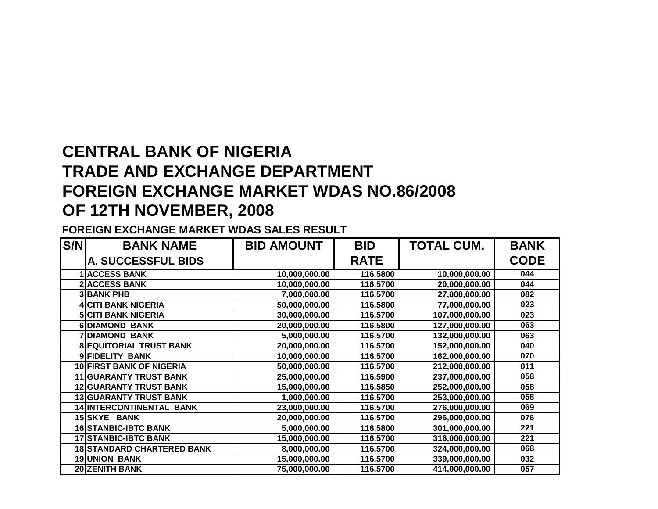## **CENTRAL BANK OF NIGERIA TRADE AND EXCHANGE DEPARTMENT FOREIGN EXCHANGE MARKET WDAS NO.86/2008OF 12TH NOVEMBER, 2008**

## **FOREIGN EXCHANGE MARKET WDAS SALES RESULT**

| S/N | <b>BANK NAME</b>                  | <b>BID AMOUNT</b> | <b>BID</b>  | <b>TOTAL CUM.</b> | <b>BANK</b> |
|-----|-----------------------------------|-------------------|-------------|-------------------|-------------|
|     | A. SUCCESSFUL BIDS                |                   | <b>RATE</b> |                   | <b>CODE</b> |
|     | 1 ACCESS BANK                     | 10,000,000.00     | 116.5800    | 10,000,000.00     | 044         |
|     | <b>2 ACCESS BANK</b>              | 10,000,000.00     | 116.5700    | 20,000,000.00     | 044         |
|     | <b>3 BANK PHB</b>                 | 7,000,000.00      | 116.5700    | 27,000,000.00     | 082         |
|     | <b>4 CITI BANK NIGERIA</b>        | 50,000,000.00     | 116.5800    | 77,000,000.00     | 023         |
|     | <b>5 CITI BANK NIGERIA</b>        | 30,000,000.00     | 116.5700    | 107,000,000.00    | 023         |
|     | <b>6DIAMOND BANK</b>              | 20,000,000.00     | 116.5800    | 127,000,000.00    | 063         |
|     | <b>7DIAMOND BANK</b>              | 5,000,000.00      | 116.5700    | 132,000,000.00    | 063         |
|     | <b>8 EQUITORIAL TRUST BANK</b>    | 20,000,000.00     | 116.5700    | 152,000,000.00    | 040         |
|     | 9 FIDELITY BANK                   | 10,000,000.00     | 116.5700    | 162,000,000.00    | 070         |
|     | <b>10 FIRST BANK OF NIGERIA</b>   | 50,000,000.00     | 116.5700    | 212,000,000.00    | 011         |
|     | <b>11 GUARANTY TRUST BANK</b>     | 25,000,000.00     | 116.5900    | 237,000,000.00    | 058         |
|     | <b>12 GUARANTY TRUST BANK</b>     | 15,000,000.00     | 116.5850    | 252,000,000.00    | 058         |
|     | <b>13 GUARANTY TRUST BANK</b>     | 1,000,000.00      | 116.5700    | 253,000,000.00    | 058         |
|     | 14 INTERCONTINENTAL BANK          | 23,000,000.00     | 116.5700    | 276,000,000.00    | 069         |
|     | 15 SKYE BANK                      | 20,000,000.00     | 116.5700    | 296,000,000.00    | 076         |
|     | <b>16 STANBIC-IBTC BANK</b>       | 5,000,000.00      | 116.5800    | 301,000,000.00    | 221         |
|     | <b>17 STANBIC-IBTC BANK</b>       | 15,000,000.00     | 116.5700    | 316,000,000.00    | 221         |
|     | <b>18 STANDARD CHARTERED BANK</b> | 8,000,000.00      | 116.5700    | 324,000,000.00    | 068         |
|     | <b>19 UNION BANK</b>              | 15,000,000.00     | 116.5700    | 339,000,000.00    | 032         |
|     | 20 ZENITH BANK                    | 75,000,000.00     | 116.5700    | 414,000,000.00    | 057         |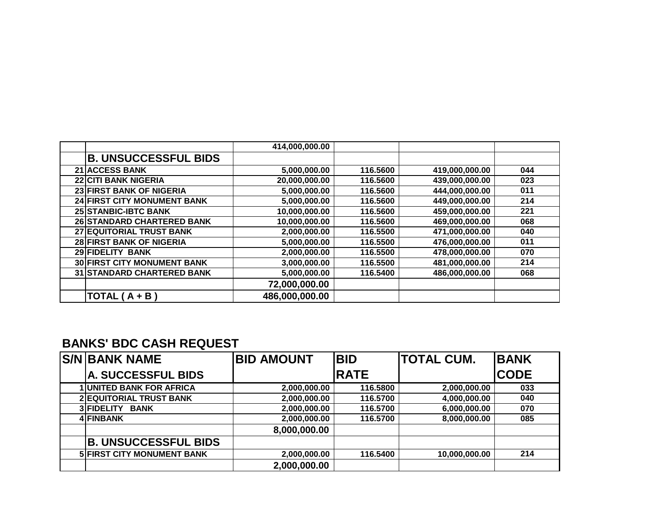|                                    | 414,000,000.00 |          |                |     |
|------------------------------------|----------------|----------|----------------|-----|
| <b>B. UNSUCCESSFUL BIDS</b>        |                |          |                |     |
| <b>21 ACCESS BANK</b>              | 5,000,000.00   | 116.5600 | 419,000,000.00 | 044 |
| <b>22 CITI BANK NIGERIA</b>        | 20,000,000.00  | 116.5600 | 439,000,000.00 | 023 |
| 23 FIRST BANK OF NIGERIA           | 5,000,000.00   | 116.5600 | 444,000,000.00 | 011 |
| 24 FIRST CITY MONUMENT BANK        | 5,000,000.00   | 116.5600 | 449,000,000.00 | 214 |
| <b>25 STANBIC-IBTC BANK</b>        | 10,000,000.00  | 116.5600 | 459,000,000.00 | 221 |
| <b>26 STANDARD CHARTERED BANK</b>  | 10,000,000.00  | 116.5600 | 469,000,000.00 | 068 |
| 27 EQUITORIAL TRUST BANK           | 2,000,000.00   | 116.5500 | 471,000,000.00 | 040 |
| <b>28 FIRST BANK OF NIGERIA</b>    | 5,000,000.00   | 116.5500 | 476,000,000.00 | 011 |
| <b>29 FIDELITY BANK</b>            | 2,000,000.00   | 116.5500 | 478,000,000.00 | 070 |
| <b>30 FIRST CITY MONUMENT BANK</b> | 3,000,000.00   | 116.5500 | 481,000,000.00 | 214 |
| <b>31 STANDARD CHARTERED BANK</b>  | 5,000,000.00   | 116.5400 | 486,000,000.00 | 068 |
|                                    | 72,000,000.00  |          |                |     |
| TOTAL $(A + B)$                    | 486,000,000.00 |          |                |     |

## **BANKS' BDC CASH REQUEST**

| <b>S/N BANK NAME</b>              | <b>BID AMOUNT</b> | <b>BID</b>  | <b>ITOTAL CUM.</b> | <b>BANK</b> |
|-----------------------------------|-------------------|-------------|--------------------|-------------|
| <b>A. SUCCESSFUL BIDS</b>         |                   | <b>RATE</b> |                    | <b>CODE</b> |
| <b>1 UNITED BANK FOR AFRICA</b>   | 2,000,000.00      | 116.5800    | 2,000,000.00       | 033         |
| <b>2 EQUITORIAL TRUST BANK</b>    | 2,000,000.00      | 116.5700    | 4,000,000.00       | 040         |
| 3 FIDELITY<br><b>BANK</b>         | 2,000,000.00      | 116.5700    | 6,000,000.00       | 070         |
| 4 FINBANK                         | 2,000,000.00      | 116.5700    | 8,000,000.00       | 085         |
|                                   | 8,000,000.00      |             |                    |             |
| <b>B. UNSUCCESSFUL BIDS</b>       |                   |             |                    |             |
| <b>5 FIRST CITY MONUMENT BANK</b> | 2,000,000.00      | 116.5400    | 10,000,000.00      | 214         |
|                                   | 2,000,000.00      |             |                    |             |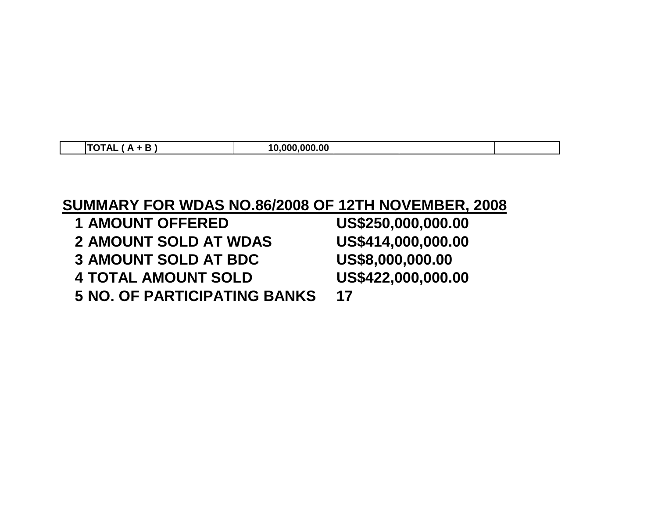| . . | ---<br>-<br>. .<br>∼ | .000.00<br>. nnn<br>$\overline{ }$ |  |  |
|-----|----------------------|------------------------------------|--|--|

## **SUMMARY FOR WDAS NO.86/2008 OF 12TH NOVEMBER, 2008**

| US\$250,000,000.00 |
|--------------------|
| US\$414,000,000.00 |
| US\$8,000,000.00   |
| US\$422,000,000.00 |
| 17                 |
|                    |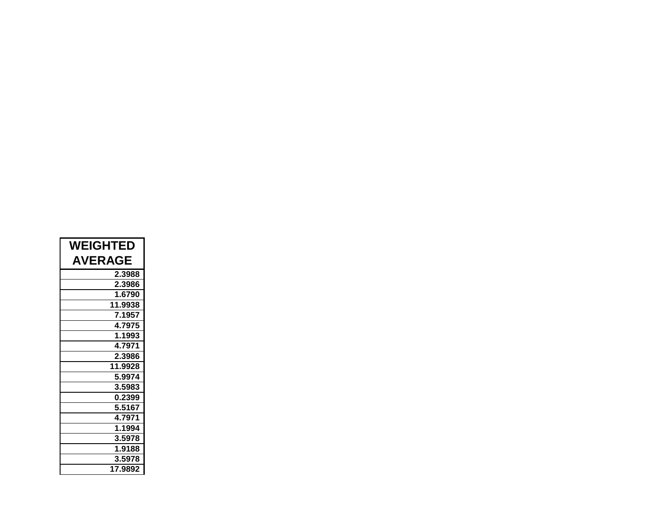| <b>WEIGHTED</b> |  |  |  |
|-----------------|--|--|--|
| <b>AVERAGE</b>  |  |  |  |
| 2.3988          |  |  |  |
| 2.3986          |  |  |  |
| 1.6790          |  |  |  |
| 11.9938         |  |  |  |
| 7.1957          |  |  |  |
| 4.7975          |  |  |  |
| 1.1993          |  |  |  |
| 4.7971          |  |  |  |
| 2.3986          |  |  |  |
| 11.9928         |  |  |  |
| 5.9974          |  |  |  |
| 3.5983          |  |  |  |
| 0.2399          |  |  |  |
| 5.5167          |  |  |  |
| 4.7971          |  |  |  |
| 1.1994          |  |  |  |
| 3.5978          |  |  |  |
| 1.9188          |  |  |  |
| 3.5978          |  |  |  |
| 17.9892         |  |  |  |